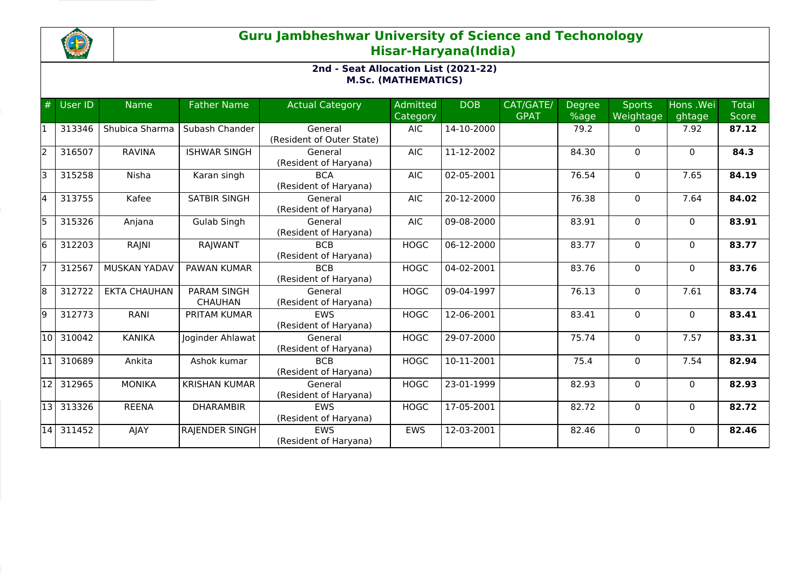

## **Guru Jambheshwar University of Science and Techonology Hisar-Haryana(India)**

## **2nd - Seat Allocation List (2021-22) M.Sc. (MATHEMATICS)**

| #    | <b>User ID</b> | <b>Name</b>         | <b>Father Name</b>                   | <b>Actual Category</b>               | Admitted<br>Category | <b>DOB</b> | CAT/GATE/<br><b>GPAT</b> | <b>Degree</b><br>%age | <b>Sports</b><br>Weightage | Hons .Wei<br>ghtage | <b>Total</b><br><b>Score</b> |
|------|----------------|---------------------|--------------------------------------|--------------------------------------|----------------------|------------|--------------------------|-----------------------|----------------------------|---------------------|------------------------------|
|      | 313346         | Shubica Sharma      | Subash Chander                       | General<br>(Resident of Outer State) | <b>AIC</b>           | 14-10-2000 |                          | 79.2                  | $\Omega$                   | 7.92                | 87.12                        |
| I2   | 316507         | <b>RAVINA</b>       | <b>ISHWAR SINGH</b>                  | General<br>(Resident of Haryana)     | <b>AIC</b>           | 11-12-2002 |                          | 84.30                 | $\Omega$                   | $\Omega$            | 84.3                         |
|      | 315258         | Nisha               | Karan singh                          | <b>BCA</b><br>(Resident of Haryana)  | <b>AIC</b>           | 02-05-2001 |                          | 76.54                 | $\mathbf 0$                | 7.65                | 84.19                        |
| l4   | 313755         | Kafee               | <b>SATBIR SINGH</b>                  | General<br>(Resident of Haryana)     | <b>AIC</b>           | 20-12-2000 |                          | 76.38                 | $\mathbf{0}$               | 7.64                | 84.02                        |
| l5   | 315326         | Anjana              | Gulab Singh                          | General<br>(Resident of Haryana)     | <b>AIC</b>           | 09-08-2000 |                          | 83.91                 | $\Omega$                   | $\Omega$            | 83.91                        |
| l6   | 312203         | RAJNI               | RAJWANT                              | <b>BCB</b><br>(Resident of Haryana)  | <b>HOGC</b>          | 06-12-2000 |                          | 83.77                 | $\mathbf{0}$               | $\Omega$            | 83.77                        |
|      | 312567         | <b>MUSKAN YADAV</b> | <b>PAWAN KUMAR</b>                   | <b>BCB</b><br>(Resident of Haryana)  | <b>HOGC</b>          | 04-02-2001 |                          | 83.76                 | 0                          | $\mathbf{0}$        | 83.76                        |
| 18   | 312722         | <b>EKTA CHAUHAN</b> | <b>PARAM SINGH</b><br><b>CHAUHAN</b> | General<br>(Resident of Haryana)     | <b>HOGC</b>          | 09-04-1997 |                          | 76.13                 | 0                          | 7.61                | 83.74                        |
| 19   | 312773         | RANI                | PRITAM KUMAR                         | <b>EWS</b><br>(Resident of Haryana)  | <b>HOGC</b>          | 12-06-2001 |                          | 83.41                 | 0                          | $\Omega$            | 83.41                        |
| 10   | 310042         | <b>KANIKA</b>       | Joginder Ahlawat                     | General<br>(Resident of Haryana)     | <b>HOGC</b>          | 29-07-2000 |                          | 75.74                 | 0                          | 7.57                | 83.31                        |
| l11  | 310689         | Ankita              | Ashok kumar                          | <b>BCB</b><br>(Resident of Haryana)  | <b>HOGC</b>          | 10-11-2001 |                          | 75.4                  | 0                          | 7.54                | 82.94                        |
| 12   | 312965         | <b>MONIKA</b>       | <b>KRISHAN KUMAR</b>                 | General<br>(Resident of Haryana)     | <b>HOGC</b>          | 23-01-1999 |                          | 82.93                 | $\Omega$                   | $\Omega$            | 82.93                        |
| 13 I | 313326         | <b>REENA</b>        | <b>DHARAMBIR</b>                     | <b>EWS</b><br>(Resident of Haryana)  | <b>HOGC</b>          | 17-05-2001 |                          | 82.72                 | $\mathbf 0$                | $\mathbf{0}$        | 82.72                        |
| 14   | 311452         | AJAY                | <b>RAJENDER SINGH</b>                | <b>FWS</b><br>(Resident of Haryana)  | <b>EWS</b>           | 12-03-2001 |                          | 82.46                 | $\Omega$                   | $\Omega$            | 82.46                        |